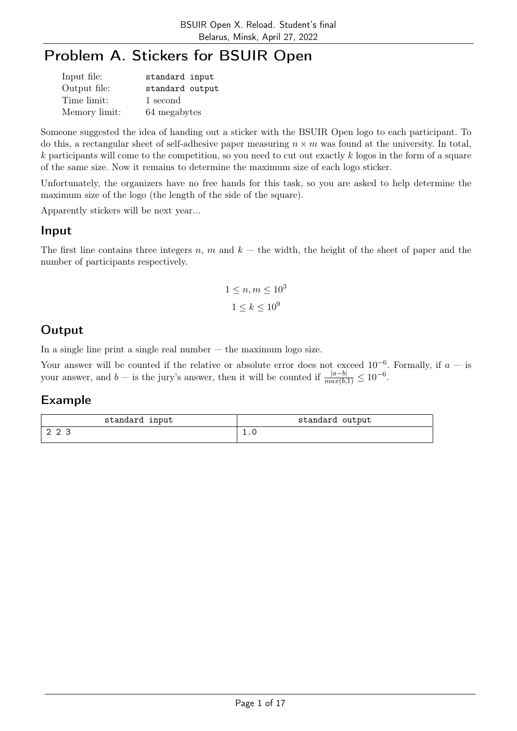# Problem A. Stickers for BSUIR Open

| Input file:   | standard input  |
|---------------|-----------------|
| Output file:  | standard output |
| Time limit:   | 1 second        |
| Memory limit: | 64 megabytes    |

Someone suggested the idea of handing out a sticker with the BSUIR Open logo to each participant. To do this, a rectangular sheet of self-adhesive paper measuring  $n \times m$  was found at the university. In total,  $k$  participants will come to the competition, so you need to cut out exactly  $k$  logos in the form of a square of the same size. Now it remains to determine the maximum size of each logo sticker.

Unfortunately, the organizers have no free hands for this task, so you are asked to help determine the maximum size of the logo (the length of the side of the square).

Apparently stickers will be next year...

#### Input

The first line contains three integers n, m and  $k$  — the width, the height of the sheet of paper and the number of participants respectively.

$$
1 \le n, m \le 10^3
$$
  

$$
1 \le k \le 10^9
$$

## Output

In a single line print a single real number  $-$  the maximum logo size.

Your answer will be counted if the relative or absolute error does not exceed  $10^{-6}$ . Formally, if  $a -$  is your answer, and  $b -$  is the jury's answer, then it will be counted if  $\frac{|a-b|}{max(b,1)} \leq 10^{-6}$ .

| standard input | standard output |
|----------------|-----------------|
| ר מי           |                 |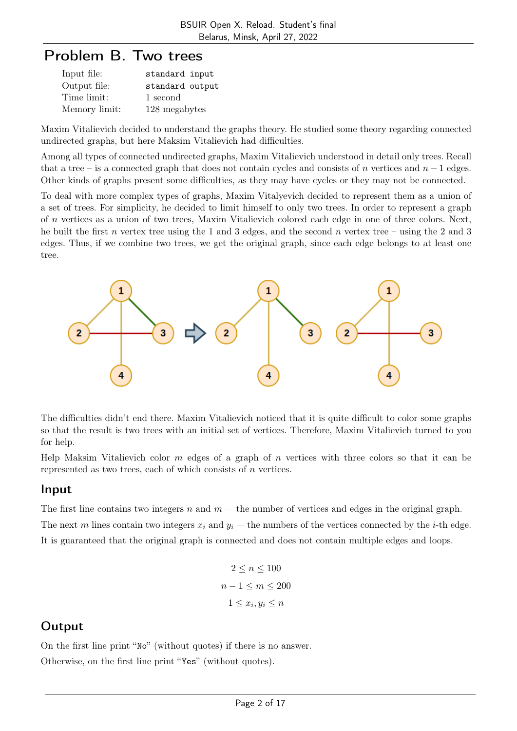# Problem B. Two trees

| Input file:   | standard input  |
|---------------|-----------------|
| Output file:  | standard output |
| Time limit:   | 1 second        |
| Memory limit: | 128 megabytes   |

Maxim Vitalievich decided to understand the graphs theory. He studied some theory regarding connected undirected graphs, but here Maksim Vitalievich had difficulties.

Among all types of connected undirected graphs, Maxim Vitalievich understood in detail only trees. Recall that a tree – is a connected graph that does not contain cycles and consists of n vertices and  $n-1$  edges. Other kinds of graphs present some difficulties, as they may have cycles or they may not be connected.

To deal with more complex types of graphs, Maxim Vitalyevich decided to represent them as a union of a set of trees. For simplicity, he decided to limit himself to only two trees. In order to represent a graph of n vertices as a union of two trees, Maxim Vitalievich colored each edge in one of three colors. Next, he built the first n vertex tree using the 1 and 3 edges, and the second n vertex tree – using the 2 and 3 edges. Thus, if we combine two trees, we get the original graph, since each edge belongs to at least one tree.



The difficulties didn't end there. Maxim Vitalievich noticed that it is quite difficult to color some graphs so that the result is two trees with an initial set of vertices. Therefore, Maxim Vitalievich turned to you for help.

Help Maksim Vitalievich color  $m$  edges of a graph of  $n$  vertices with three colors so that it can be represented as two trees, each of which consists of n vertices.

#### Input

The first line contains two integers n and  $m$  — the number of vertices and edges in the original graph. The next m lines contain two integers  $x_i$  and  $y_i$  — the numbers of the vertices connected by the *i*-th edge. It is guaranteed that the original graph is connected and does not contain multiple edges and loops.

$$
2 \le n \le 100
$$
  

$$
n - 1 \le m \le 200
$$
  

$$
1 \le x_i, y_i \le n
$$

## **Output**

On the first line print "No" (without quotes) if there is no answer. Otherwise, on the first line print "Yes" (without quotes).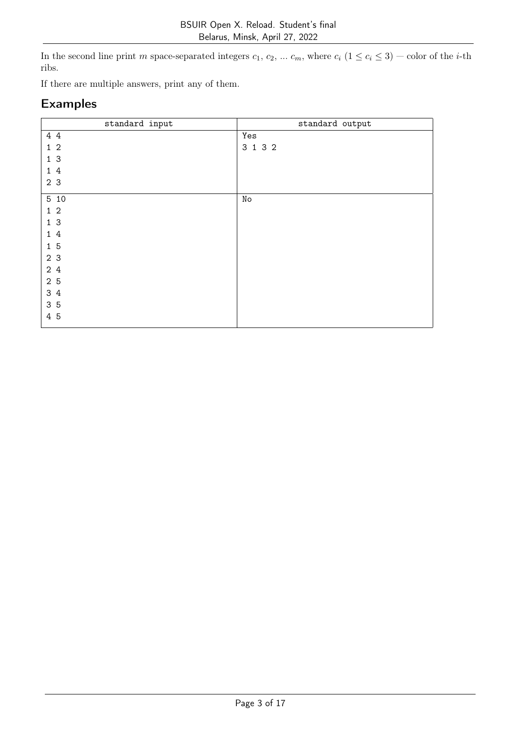In the second line print m space-separated integers  $c_1, c_2, \ldots c_m$ , where  $c_i$   $(1 \le c_i \le 3)$  — color of the *i*-th ribs.

If there are multiple answers, print any of them.

| standard input                 | standard output |
|--------------------------------|-----------------|
| 4 4                            | Yes             |
| $\overline{2}$<br>$\mathbf{1}$ | 3 1 3 2         |
| 1 <sub>3</sub>                 |                 |
| 4<br>1                         |                 |
| 2 3                            |                 |
| 5 10                           | No              |
| 1 <sub>2</sub>                 |                 |
| 13                             |                 |
| 1 4                            |                 |
| 15                             |                 |
| 2 3                            |                 |
| 2 4                            |                 |
| 2 5                            |                 |
| 3 4                            |                 |
| 35                             |                 |
| 4 5                            |                 |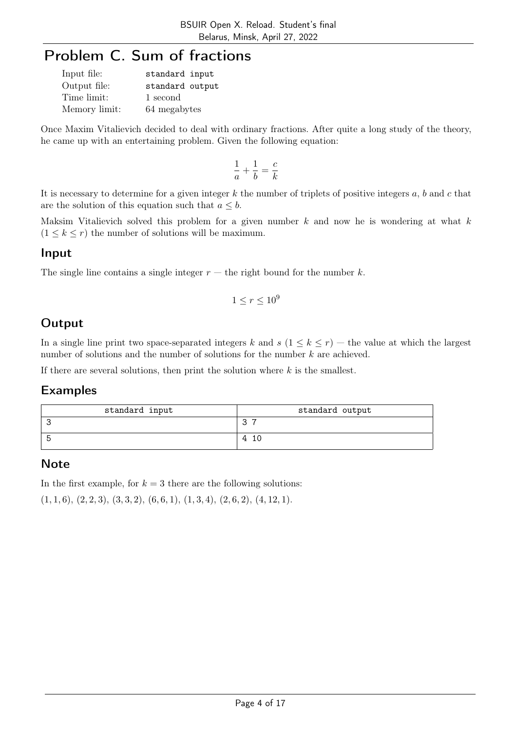# Problem C. Sum of fractions

| Input file:   | standard input  |
|---------------|-----------------|
| Output file:  | standard output |
| Time limit:   | 1 second        |
| Memory limit: | 64 megabytes    |

Once Maxim Vitalievich decided to deal with ordinary fractions. After quite a long study of the theory, he came up with an entertaining problem. Given the following equation:

$$
\frac{1}{a}+\frac{1}{b}=\frac{c}{k}
$$

It is necessary to determine for a given integer  $k$  the number of triplets of positive integers  $a, b$  and  $c$  that are the solution of this equation such that  $a \leq b$ .

Maksim Vitalievich solved this problem for a given number  $k$  and now he is wondering at what  $k$  $(1 \leq k \leq r)$  the number of solutions will be maximum.

#### Input

The single line contains a single integer  $r$  — the right bound for the number k.

$$
1 \le r \le 10^9
$$

## **Output**

In a single line print two space-separated integers k and  $s$   $(1 \leq k \leq r)$  — the value at which the largest number of solutions and the number of solutions for the number  $k$  are achieved.

If there are several solutions, then print the solution where  $k$  is the smallest.

#### Examples

| standard input | standard output |
|----------------|-----------------|
|                | -               |
|                | 10<br>4         |

#### **Note**

In the first example, for  $k = 3$  there are the following solutions:  $(1, 1, 6), (2, 2, 3), (3, 3, 2), (6, 6, 1), (1, 3, 4), (2, 6, 2), (4, 12, 1).$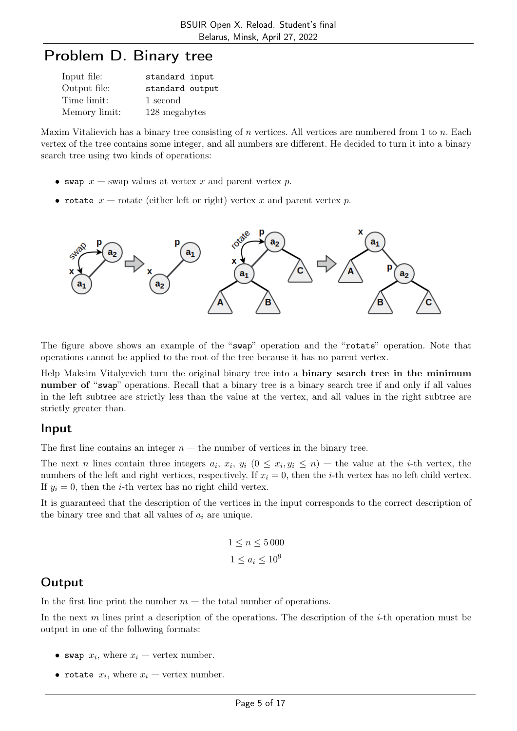# Problem D. Binary tree

| Input file:   | standard input  |
|---------------|-----------------|
| Output file:  | standard output |
| Time limit:   | 1 second        |
| Memory limit: | 128 megabytes   |

Maxim Vitalievich has a binary tree consisting of n vertices. All vertices are numbered from 1 to  $n$ . Each vertex of the tree contains some integer, and all numbers are different. He decided to turn it into a binary search tree using two kinds of operations:

- swap  $x$  swap values at vertex x and parent vertex p.
- rotate  $x$  rotate (either left or right) vertex x and parent vertex p.



The figure above shows an example of the "swap" operation and the "rotate" operation. Note that operations cannot be applied to the root of the tree because it has no parent vertex.

Help Maksim Vitalyevich turn the original binary tree into a binary search tree in the minimum number of "swap" operations. Recall that a binary tree is a binary search tree if and only if all values in the left subtree are strictly less than the value at the vertex, and all values in the right subtree are strictly greater than.

#### Input

The first line contains an integer  $n -$  the number of vertices in the binary tree.

The next *n* lines contain three integers  $a_i, x_i, y_i$   $(0 \leq x_i, y_i \leq n)$  – the value at the *i*-th vertex, the numbers of the left and right vertices, respectively. If  $x_i = 0$ , then the *i*-th vertex has no left child vertex. If  $y_i = 0$ , then the *i*-th vertex has no right child vertex.

It is guaranteed that the description of the vertices in the input corresponds to the correct description of the binary tree and that all values of  $a_i$  are unique.

$$
1 \le n \le 5000
$$
  

$$
1 \le a_i \le 10^9
$$

## **Output**

In the first line print the number  $m$  – the total number of operations.

In the next m lines print a description of the operations. The description of the  $i$ -th operation must be output in one of the following formats:

- swap  $x_i$ , where  $x_i$  vertex number.
- rotate  $x_i$ , where  $x_i$  vertex number.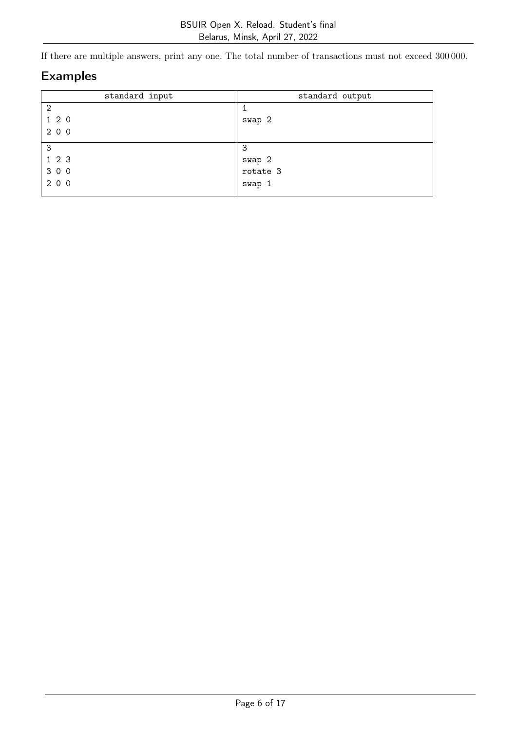If there are multiple answers, print any one. The total number of transactions must not exceed 300 000.

| standard input | standard output |
|----------------|-----------------|
| $\overline{2}$ |                 |
| 120            | swap 2          |
| 2 0 0          |                 |
| 3              | 3               |
| 123            | swap 2          |
| 3 0 0          | rotate 3        |
| 2 0 0          | swap 1          |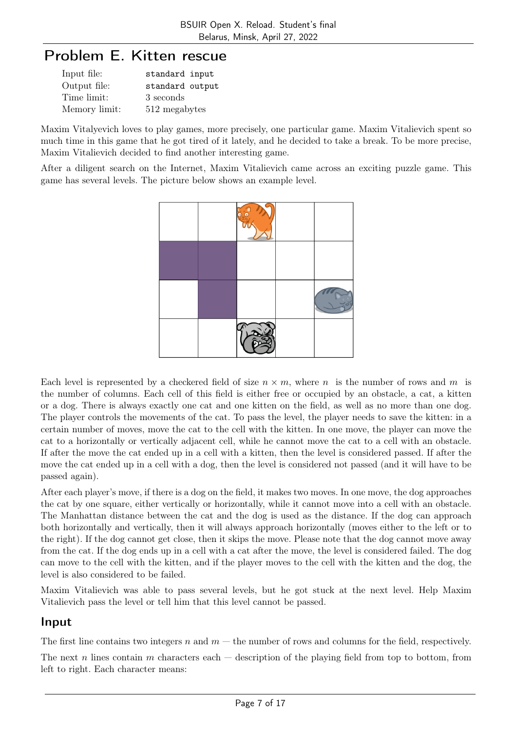# Problem E. Kitten rescue

| Input file:   | standard input  |
|---------------|-----------------|
| Output file:  | standard output |
| Time limit:   | 3 seconds       |
| Memory limit: | 512 megabytes   |

Maxim Vitalyevich loves to play games, more precisely, one particular game. Maxim Vitalievich spent so much time in this game that he got tired of it lately, and he decided to take a break. To be more precise, Maxim Vitalievich decided to find another interesting game.

After a diligent search on the Internet, Maxim Vitalievich came across an exciting puzzle game. This game has several levels. The picture below shows an example level.



Each level is represented by a checkered field of size  $n \times m$ , where n is the number of rows and m is the number of columns. Each cell of this field is either free or occupied by an obstacle, a cat, a kitten or a dog. There is always exactly one cat and one kitten on the field, as well as no more than one dog. The player controls the movements of the cat. To pass the level, the player needs to save the kitten: in a certain number of moves, move the cat to the cell with the kitten. In one move, the player can move the cat to a horizontally or vertically adjacent cell, while he cannot move the cat to a cell with an obstacle. If after the move the cat ended up in a cell with a kitten, then the level is considered passed. If after the move the cat ended up in a cell with a dog, then the level is considered not passed (and it will have to be passed again).

After each player's move, if there is a dog on the field, it makes two moves. In one move, the dog approaches the cat by one square, either vertically or horizontally, while it cannot move into a cell with an obstacle. The Manhattan distance between the cat and the dog is used as the distance. If the dog can approach both horizontally and vertically, then it will always approach horizontally (moves either to the left or to the right). If the dog cannot get close, then it skips the move. Please note that the dog cannot move away from the cat. If the dog ends up in a cell with a cat after the move, the level is considered failed. The dog can move to the cell with the kitten, and if the player moves to the cell with the kitten and the dog, the level is also considered to be failed.

Maxim Vitalievich was able to pass several levels, but he got stuck at the next level. Help Maxim Vitalievich pass the level or tell him that this level cannot be passed.

### Input

The first line contains two integers n and  $m$  — the number of rows and columns for the field, respectively.

The next n lines contain m characters each  $-$  description of the playing field from top to bottom, from left to right. Each character means: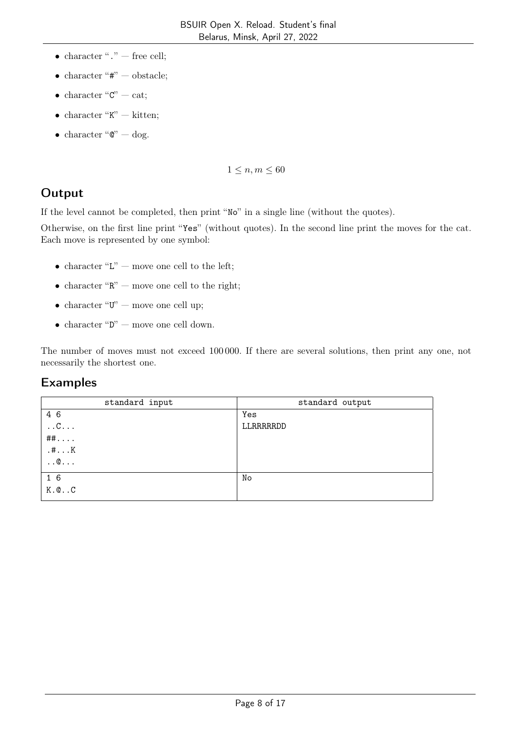- character " $\cdot$ " free cell;
- character " $#$ " obstacle;
- character " $C$ " cat;
- $\bullet\,$  character "K"  $-$  kitten;
- character " $\mathbb{C}$ " dog.

 $1 \leq n, m \leq 60$ 

## **Output**

If the level cannot be completed, then print "No" in a single line (without the quotes).

Otherwise, on the first line print "Yes" (without quotes). In the second line print the moves for the cat. Each move is represented by one symbol:

- $\bullet\,$  character "L" move one cell to the left;
- character " $\mathbb{R}$ " move one cell to the right;
- character " $U$ " move one cell up;
- $\bullet\,$  character "D" move one cell down.

The number of moves must not exceed 100 000. If there are several solutions, then print any one, not necessarily the shortest one.

| standard input      | standard output |
|---------------------|-----------------|
| 4 6                 | Yes             |
| $\ldots$ C $\ldots$ | LLRRRRRDD       |
| $\#$ $\#$           |                 |
| . #K                |                 |
| $\ldots \mathbb{Q}$ |                 |
| 16                  | No              |
| $K.@.$ . $C$        |                 |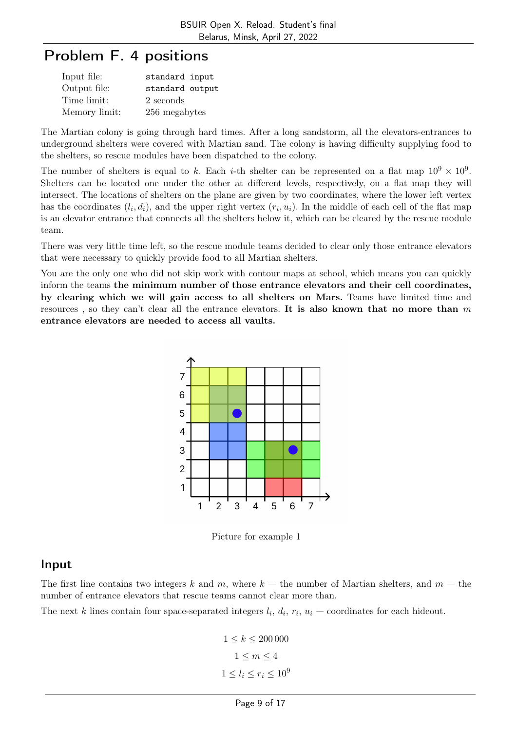# Problem F. 4 positions

| Input file:   | standard input  |
|---------------|-----------------|
| Output file:  | standard output |
| Time limit:   | 2 seconds       |
| Memory limit: | 256 megabytes   |

The Martian colony is going through hard times. After a long sandstorm, all the elevators-entrances to underground shelters were covered with Martian sand. The colony is having difficulty supplying food to the shelters, so rescue modules have been dispatched to the colony.

The number of shelters is equal to k. Each *i*-th shelter can be represented on a flat map  $10^9 \times 10^9$ . Shelters can be located one under the other at different levels, respectively, on a flat map they will intersect. The locations of shelters on the plane are given by two coordinates, where the lower left vertex has the coordinates  $(l_i, d_i)$ , and the upper right vertex  $(r_i, u_i)$ . In the middle of each cell of the flat map is an elevator entrance that connects all the shelters below it, which can be cleared by the rescue module team.

There was very little time left, so the rescue module teams decided to clear only those entrance elevators that were necessary to quickly provide food to all Martian shelters.

You are the only one who did not skip work with contour maps at school, which means you can quickly inform the teams the minimum number of those entrance elevators and their cell coordinates, by clearing which we will gain access to all shelters on Mars. Teams have limited time and resources, so they can't clear all the entrance elevators. It is also known that no more than  $m$ entrance elevators are needed to access all vaults.



Picture for example 1

#### Input

The first line contains two integers k and m, where  $k -$  the number of Martian shelters, and  $m -$  the number of entrance elevators that rescue teams cannot clear more than.

The next k lines contain four space-separated integers  $l_i$ ,  $d_i$ ,  $r_i$ ,  $u_i$  – coordinates for each hideout.

$$
1 \leq k \leq 200\,000
$$
  

$$
1 \leq m \leq 4
$$
  

$$
1 \leq l_i \leq r_i \leq 10^9
$$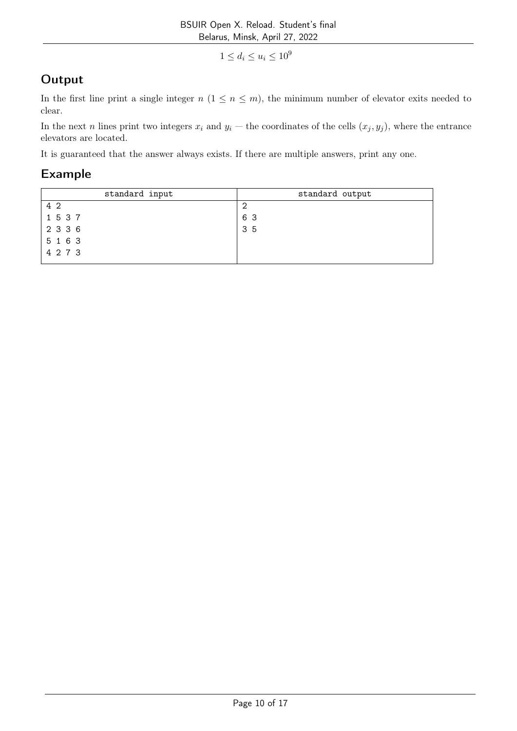$1 \le d_i \le u_i \le 10^9$ 

# **Output**

In the first line print a single integer  $n (1 \leq n \leq m)$ , the minimum number of elevator exits needed to clear.

In the next n lines print two integers  $x_i$  and  $y_i$  — the coordinates of the cells  $(x_j, y_j)$ , where the entrance elevators are located.

It is guaranteed that the answer always exists. If there are multiple answers, print any one.

| standard input | standard output |
|----------------|-----------------|
| 4 2            | - 2             |
| 1 5 3 7        | 63              |
| 2 3 3 6        | 35              |
| 5 1 6 3        |                 |
| 4 2 7 3        |                 |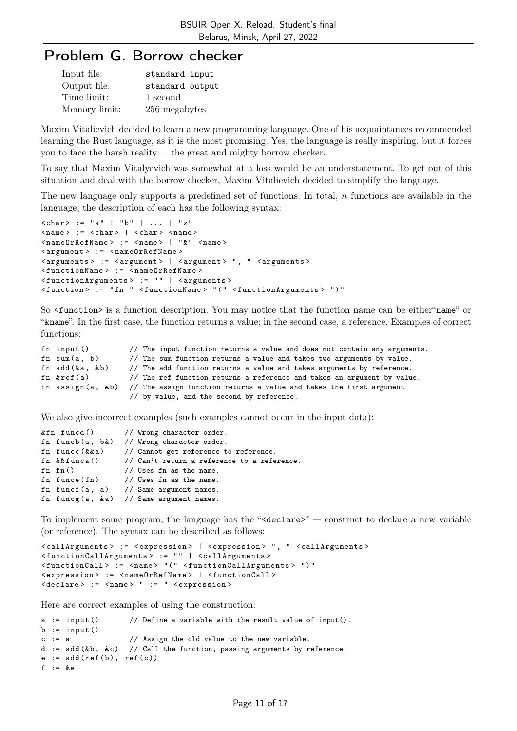# Problem G. Borrow checker

| Input file:   | standard input  |
|---------------|-----------------|
| Output file:  | standard output |
| Time limit:   | 1 second        |
| Memory limit: | 256 megabytes   |

Maxim Vitalievich decided to learn a new programming language. One of his acquaintances recommended learning the Rust language, as it is the most promising. Yes, the language is really inspiring, but it forces you to face the harsh reality  $-$  the great and mighty borrow checker.

To say that Maxim Vitalyevich was somewhat at a loss would be an understatement. To get out of this situation and deal with the borrow checker, Maxim Vitalievich decided to simplify the language.

The new language only supports a predefined set of functions. In total, n functions are available in the language, the description of each has the following syntax:

```
\langle char \rangle := "a" | "b" | ... | "z"\langlename> := \langlechar> | \langlechar> \langlename>
< nameOrRefName > := < name > | " & " < name >
< argument > := < nameOrRefName >
< arguments > := < argument > | < argument > " , " < arguments >
< functionName > := < nameOrRefName >
< functionArguments > := " " | < arguments >
< function > := " fn " < functionName > " ( " < functionArguments > " ) "
```
So  $\forall$ function is a function description. You may notice that the function name can be either "name" or "&name". In the first case, the function returns a value; in the second case, a reference. Examples of correct functions:

| fn input()       | // The input function returns a value and does not contain any arguments.                |
|------------------|------------------------------------------------------------------------------------------|
| fn sum $(a, b)$  | // The sum function returns a value and takes two arguments by value.                    |
| fn $add(ka, kb)$ | // The add function returns a value and takes arguments by reference.                    |
| fn $kref(a)$     | // The ref function returns a reference and takes an argument by value.                  |
|                  | fn assign(a, $k b$ ) // The assign function returns a value and takes the first argument |
|                  | // by value, and the second by reference.                                                |

We also give incorrect examples (such examples cannot occur in the input data):

```
& fn funcd () // Wrong character order.
fn funcb(a, b\&) // Wrong character order.
fn funcc (& & a) // Cannot get reference to reference.
fn \& funca() // Can't return a reference to a reference.
fn fn() // Uses fn as the name.
fn funce (\text{fn}) // Uses fn as the name.
fn funcf (a, a) // Same argument names.
fn funcg (a, k a) // Same argument names.
```
To implement some program, the language has the " $\triangleleft$ declare $\geq$ " — construct to declare a new variable (or reference). The syntax can be described as follows:

```
< callArguments > := < expression > | < expression > " , " < callArguments >
< functionCallArguments > := " " | < callArguments >
< functionCall > := < name > " ( " < functionCallArguments > " ) "
< expression > := < nameOrRefName > | < functionCall >
< declare > := < name > " := " < expression >
```
Here are correct examples of using the construction:

```
a := input () \frac{1}{2} Define a variable with the result value of input ().
b := input()c := a // Assign the old value to the new variable.
d := add(kb, kc) // Call the function, passing arguments by reference.
e := add(ref(b), ref(c))f := \&e
```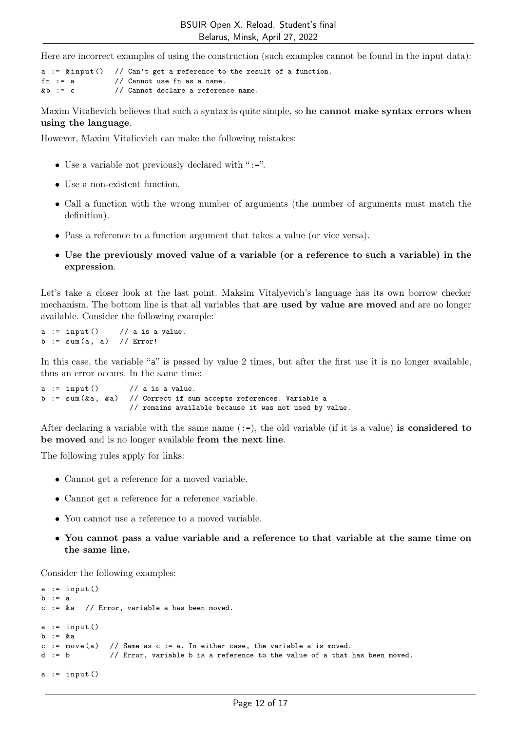Here are incorrect examples of using the construction (such examples cannot be found in the input data):

a :=  $\&$  input () // Can't get a reference to the result of a function.<br>fn := a // Cannot use fn as a name.  $//$  Cannot use fn as a name.  $& b := c$  // Cannot declare a reference name.

Maxim Vitalievich believes that such a syntax is quite simple, so he cannot make syntax errors when using the language.

However, Maxim Vitalievich can make the following mistakes:

- $\bullet\,$  Use a variable not previously declared with ":=".
- Use a non-existent function.
- Call a function with the wrong number of arguments (the number of arguments must match the definition).
- Pass a reference to a function argument that takes a value (or vice versa).
- Use the previously moved value of a variable (or a reference to such a variable) in the expression.

Let's take a closer look at the last point. Maksim Vitalyevich's language has its own borrow checker mechanism. The bottom line is that all variables that are used by value are moved and are no longer available. Consider the following example:

 $a := input()$  // a is a value.  $b := sum(a, a)$  // Error!

In this case, the variable "a" is passed by value 2 times, but after the first use it is no longer available, thus an error occurs. In the same time:

```
a := input () // a is a value.<br>b := sum (&a, &a) // Correct if su
                          // Correct if sum accepts references. Variable a
                          // remains available because it was not used by value.
```
After declaring a variable with the same name  $(:=)$ , the old variable (if it is a value) is considered to be moved and is no longer available from the next line.

The following rules apply for links:

- Cannot get a reference for a moved variable.
- Cannot get a reference for a reference variable.
- You cannot use a reference to a moved variable.
- You cannot pass a value variable and a reference to that variable at the same time on the same line.

Consider the following examples:

```
a := input()b := ac := \&a // Error, variable a has been moved.
a := input()b := & ac := move (a) // Same as c := a. In either case, the variable a is moved.
d := b // Error, variable b is a reference to the value of a that has been moved.
a := input()
```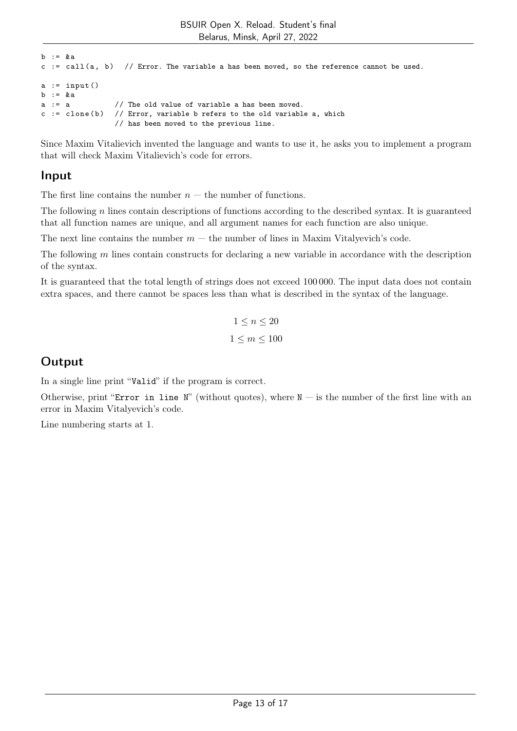```
h \t= k ac := call(a, b) // Error. The variable a has been moved, so the reference cannot be used.
a := input()b := &a
a := a // The old value of variable a has been moved.
c := clone (b) // Error, variable b refers to the old variable a, which
                 // has been moved to the previous line.
```
Since Maxim Vitalievich invented the language and wants to use it, he asks you to implement a program that will check Maxim Vitalievich's code for errors.

### Input

The first line contains the number  $n -$  the number of functions.

The following n lines contain descriptions of functions according to the described syntax. It is guaranteed that all function names are unique, and all argument names for each function are also unique.

The next line contains the number  $m -$  the number of lines in Maxim Vitalyevich's code.

The following  $m$  lines contain constructs for declaring a new variable in accordance with the description of the syntax.

It is guaranteed that the total length of strings does not exceed 100 000. The input data does not contain extra spaces, and there cannot be spaces less than what is described in the syntax of the language.

$$
1 \le n \le 20
$$
  

$$
1 \le m \le 100
$$

## **Output**

In a single line print "Valid" if the program is correct.

Otherwise, print "Error in line N" (without quotes), where  $N - i$  is the number of the first line with an error in Maxim Vitalyevich's code.

Line numbering starts at 1.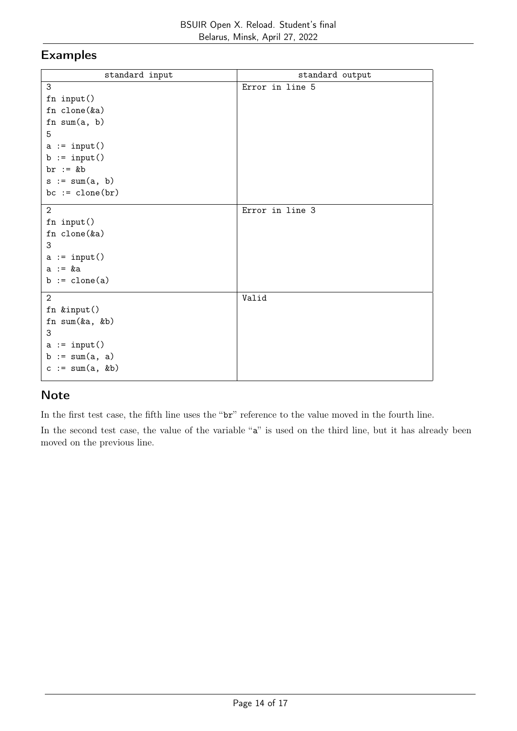### Examples

| standard input         | standard output |
|------------------------|-----------------|
| 3                      | Error in line 5 |
| fn input()             |                 |
| fn $clone(ka)$         |                 |
| fn sum $(a, b)$        |                 |
| 5                      |                 |
| $a := input()$         |                 |
| $b := input()$         |                 |
| $br := kb$             |                 |
| $s := sum(a, b)$       |                 |
| $bc := clone(br)$      |                 |
| $\overline{2}$         | Error in line 3 |
| fn input()             |                 |
| fn clone(&a)           |                 |
| 3                      |                 |
| $a := input()$         |                 |
| $a := xa$              |                 |
| $b := \text{clone}(a)$ |                 |
| $\overline{2}$         | Valid           |
| fn &input()            |                 |
| fn sum(&a, &b)         |                 |
| 3                      |                 |
| $a := input()$         |                 |
| $b := sum(a, a)$       |                 |
| $c := sum(a, kb)$      |                 |
|                        |                 |

## **Note**

In the first test case, the fifth line uses the "br" reference to the value moved in the fourth line.

In the second test case, the value of the variable "a" is used on the third line, but it has already been moved on the previous line.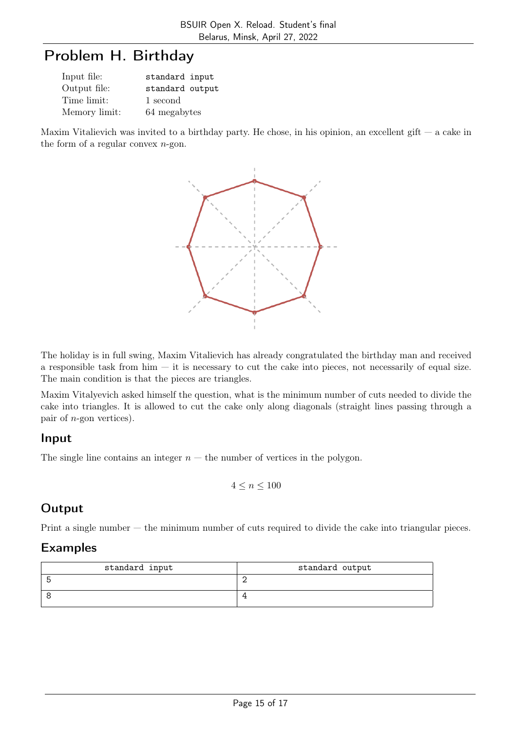# Problem H. Birthday

| Input file:   | standard input  |
|---------------|-----------------|
| Output file:  | standard output |
| Time limit:   | 1 second        |
| Memory limit: | 64 megabytes    |

Maxim Vitalievich was invited to a birthday party. He chose, in his opinion, an excellent gift  $-$  a cake in the form of a regular convex  $n$ -gon.



The holiday is in full swing, Maxim Vitalievich has already congratulated the birthday man and received a responsible task from  $\lim$  — it is necessary to cut the cake into pieces, not necessarily of equal size. The main condition is that the pieces are triangles.

Maxim Vitalyevich asked himself the question, what is the minimum number of cuts needed to divide the cake into triangles. It is allowed to cut the cake only along diagonals (straight lines passing through a pair of  $n$ -gon vertices).

#### Input

The single line contains an integer  $n -$  the number of vertices in the polygon.

$$
4 \leq n \leq 100
$$

## **Output**

Print a single number — the minimum number of cuts required to divide the cake into triangular pieces.

| standard input | standard output |
|----------------|-----------------|
|                |                 |
|                |                 |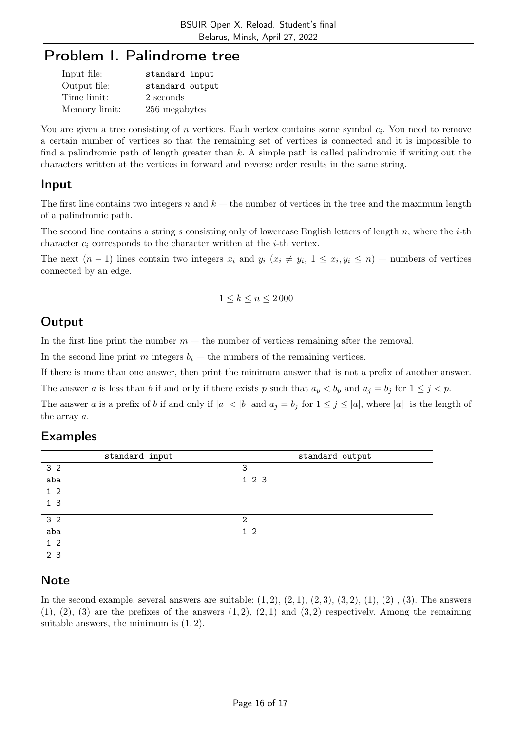# Problem I. Palindrome tree

| Input file:   | standard input  |
|---------------|-----------------|
| Output file:  | standard output |
| Time limit:   | 2 seconds       |
| Memory limit: | 256 megabytes   |

You are given a tree consisting of  $n$  vertices. Each vertex contains some symbol  $c_i$ . You need to remove a certain number of vertices so that the remaining set of vertices is connected and it is impossible to find a palindromic path of length greater than  $k$ . A simple path is called palindromic if writing out the characters written at the vertices in forward and reverse order results in the same string.

### Input

The first line contains two integers n and  $k$  — the number of vertices in the tree and the maximum length of a palindromic path.

The second line contains a string s consisting only of lowercase English letters of length n, where the  $i$ -th character  $c_i$  corresponds to the character written at the *i*-th vertex.

The next  $(n-1)$  lines contain two integers  $x_i$  and  $y_i$   $(x_i \neq y_i, 1 \leq x_i, y_i \leq n)$  – numbers of vertices connected by an edge.

$$
1\leq k\leq n\leq 2\,000
$$

## **Output**

In the first line print the number  $m$  — the number of vertices remaining after the removal.

In the second line print m integers  $b_i$  — the numbers of the remaining vertices.

If there is more than one answer, then print the minimum answer that is not a prefix of another answer.

The answer a is less than b if and only if there exists p such that  $a_p < b_p$  and  $a_j = b_j$  for  $1 \leq j < p$ .

The answer a is a prefix of b if and only if  $|a| < |b|$  and  $a_j = b_j$  for  $1 \le j \le |a|$ , where  $|a|$  is the length of the array a.

### Examples

| standard input | standard output |
|----------------|-----------------|
| 3 <sub>2</sub> | 3               |
| aba            | 1 2 3           |
| $1\quad2$      |                 |
| 1 <sub>3</sub> |                 |
| 3 <sub>2</sub> | $\overline{2}$  |
| aba            | $1\,2$          |
| $1\quad2$      |                 |
| 2 3            |                 |

### Note

In the second example, several answers are suitable:  $(1, 2)$ ,  $(2, 1)$ ,  $(2, 3)$ ,  $(3, 2)$ ,  $(1)$ ,  $(2)$ ,  $(3)$ . The answers  $(1), (2), (3)$  are the prefixes of the answers  $(1, 2), (2, 1)$  and  $(3, 2)$  respectively. Among the remaining suitable answers, the minimum is  $(1, 2)$ .